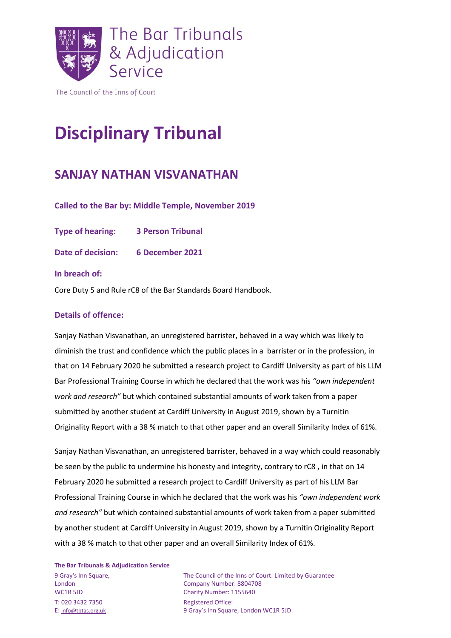

The Council of the Inns of Court

## **Disciplinary Tribunal**

## **SANJAY NATHAN VISVANATHAN**

**Called to the Bar by: Middle Temple, November 2019**

**Type of hearing: 3 Person Tribunal**

**Date of decision: 6 December 2021**

## **In breach of:**

Core Duty 5 and Rule rC8 of the Bar Standards Board Handbook.

## **Details of offence:**

Sanjay Nathan Visvanathan, an unregistered barrister, behaved in a way which was likely to diminish the trust and confidence which the public places in a barrister or in the profession, in that on 14 February 2020 he submitted a research project to Cardiff University as part of his LLM Bar Professional Training Course in which he declared that the work was his *"own independent work and research"* but which contained substantial amounts of work taken from a paper submitted by another student at Cardiff University in August 2019, shown by a Turnitin Originality Report with a 38 % match to that other paper and an overall Similarity Index of 61%.

Sanjay Nathan Visvanathan, an unregistered barrister, behaved in a way which could reasonably be seen by the public to undermine his honesty and integrity, contrary to rC8 , in that on 14 February 2020 he submitted a research project to Cardiff University as part of his LLM Bar Professional Training Course in which he declared that the work was his *"own independent work and research"* but which contained substantial amounts of work taken from a paper submitted by another student at Cardiff University in August 2019, shown by a Turnitin Originality Report with a 38 % match to that other paper and an overall Similarity Index of 61%.

**The Bar Tribunals & Adjudication Service**

T: 020 3432 7350 Registered Office:

9 Gray's Inn Square, The Council of the Inns of Court. Limited by Guarantee London Company Number: 8804708 WC1R 5JD Charity Number: 1155640 E: [info@tbtas.org.uk](mailto:info@tbtas.org.uk) 9 Gray's Inn Square, London WC1R 5JD